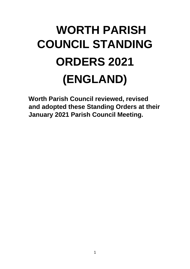# **WORTH PARISH COUNCIL STANDING ORDERS 2021 (ENGLAND)**

**Worth Parish Council reviewed, revised and adopted these Standing Orders at their January 2021 Parish Council Meeting.**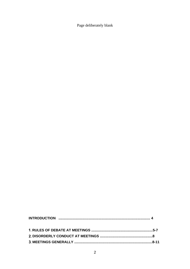Page deliberately blank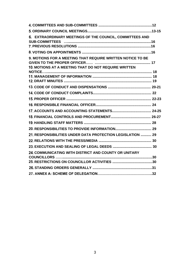| 6. EXTRAORDINARY MEETINGS OF THE COUNCIL, COMMITTEES AND                                                                  |  |
|---------------------------------------------------------------------------------------------------------------------------|--|
|                                                                                                                           |  |
|                                                                                                                           |  |
| <b>9. MOTIONS FOR A MEETING THAT REQUIRE WRITTEN NOTICE TO BE</b><br>10. MOTIONS AT A MEETING THAT DO NOT REQUIRE WRITTEN |  |
|                                                                                                                           |  |
|                                                                                                                           |  |
|                                                                                                                           |  |
|                                                                                                                           |  |
|                                                                                                                           |  |
|                                                                                                                           |  |
|                                                                                                                           |  |
|                                                                                                                           |  |
|                                                                                                                           |  |
|                                                                                                                           |  |
| 21. RESPONSIBILITIES UNDER DATA PROTECTION LEGISLATION  29                                                                |  |
|                                                                                                                           |  |
|                                                                                                                           |  |
| 24. COMMUNICATING WITH DISTRICT AND COUNTY OR UNITARY                                                                     |  |
|                                                                                                                           |  |
|                                                                                                                           |  |
|                                                                                                                           |  |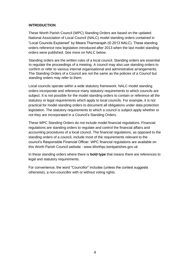## **INTRODUCTION**

These Worth Parish Council (WPC) Standing Orders are based on the updated National Association of Local Council (NALC) model standing orders contained in "Local Councils Explained" by Meera Tharmarajah (© 2013 NALC). These standing orders reference new legislation introduced after 2013 when the last model standing orders were published. See more on NALC below.

Standing orders are the written rules of a local council. Standing orders are essential to regulate the proceedings of a meeting. A council may also use standing orders to confirm or refer to various internal organisational and administrative arrangements. The Standing Orders of a Council are not the same as the policies of a Council but standing orders may refer to them.

Local councils operate within a wide statutory framework. NALC model standing orders incorporate and reference many statutory requirements to which councils are subject. It is not possible for the model standing orders to contain or reference all the statutory or legal requirements which apply to local councils. For example, it is not practical for model standing orders to document all obligations under data protection legislation. The statutory requirements to which a council is subject apply whether or not they are incorporated in a Council's Standing Orders.

These WPC Standing Orders do not include model financial regulations. Financial regulations are standing orders to regulate and control the financial affairs and accounting procedures of a local council. The financial regulations, as opposed to the standing orders of a council, include most of the requirements relevant to the council's Responsible Financial Officer. WPC financial regulations are available on this Worth Parish Council website - www.Worthpc.kentparishes.gov.uk

In these standing orders where there is **bold type** that means there are references to legal and statutory requirements.

For convenience, the word "Councillor" includes (unless the context suggests otherwise), a non-councillor with or without voting rights.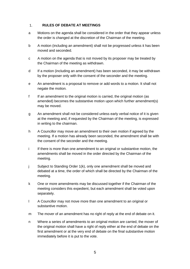#### **RULES OF DEBATE AT MEETINGS**   $1.$

- a Motions on the agenda shall be considered in the order that they appear unless the order is changed at the discretion of the Chairman of the meeting.
- b A motion (including an amendment) shall not be progressed unless it has been moved and seconded.
- c A motion on the agenda that is not moved by its proposer may be treated by the Chairman of the meeting as withdrawn.
- d If a motion (including an amendment) has been seconded, it may be withdrawn by the proposer only with the consent of the seconder and the meeting.
- e An amendment is a proposal to remove or add words to a motion. It shall not negate the motion.
- f If an amendment to the original motion is carried, the original motion (as amended) becomes the substantive motion upon which further amendment(s) may be moved.
- g An amendment shall not be considered unless early verbal notice of it is given at the meeting and, if requested by the Chairman of the meeting, is expressed in writing to the chairman.
- h A Councillor may move an amendment to their own motion if agreed by the meeting. If a motion has already been seconded, the amendment shall be with the consent of the seconder and the meeting.
- i If there is more than one amendment to an original or substantive motion, the amendments shall be moved in the order directed by the Chairman of the meeting.
- j Subject to Standing Order 1(k), only one amendment shall be moved and debated at a time, the order of which shall be directed by the Chairman of the meeting.
- k One or more amendments may be discussed together if the Chairman of the meeting considers this expedient, but each amendment shall be voted upon separately.
- l A Councillor may not move more than one amendment to an original or substantive motion.
- m The mover of an amendment has no right of reply at the end of debate on it.
- n Where a series of amendments to an original motion are carried, the mover of the original motion shall have a right of reply either at the end of debate on the first amendment or at the very end of debate on the final substantive motion immediately before it is put to the vote.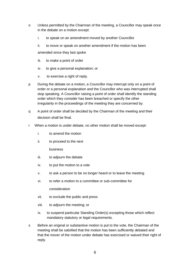- o Unless permitted by the Chairman of the meeting, a Councillor may speak once in the debate on a motion except:
	- i. to speak on an amendment moved by another Councillor
	- ii. to move or speak on another amendment if the motion has been

amended since they last spoke

- iii. to make a point of order
- iv. to give a personal explanation; or
- v. to exercise a right of reply.
- p During the debate on a motion, a Councillor may interrupt only on a point of order or a personal explanation and the Councillor who was interrupted shall stop speaking. A Councillor raising a point of order shall identify the standing order which they consider has been breached or specify the other irregularity in the proceedings of the meeting they are concerned by.
- q A point of order shall be decided by the Chairman of the meeting and their decision shall be final.
- r When a motion is under debate, no other motion shall be moved except:
	- i. to amend the motion
	- ii. to proceed to the next

business

- iii. to adjourn the debate
- iv. to put the motion to a vote
- v. to ask a person to be no longer heard or to leave the meeting
- vi. to refer a motion to a committee or sub-committee for

consideration

- vii. to exclude the public and press
- viii. to adjourn the meeting; or
- ix. to suspend particular Standing Order(s) excepting those which reflect mandatory statutory or legal requirements.
- s Before an original or substantive motion is put to the vote, the Chairman of the meeting shall be satisfied that the motion has been sufficiently debated and that the mover of the motion under debate has exercised or waived their right of reply.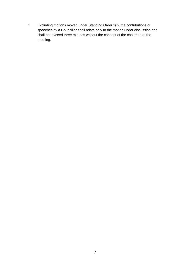t Excluding motions moved under Standing Order 1(r), the contributions or speeches by a Councillor shall relate only to the motion under discussion and shall not exceed three minutes without the consent of the chairman of the meeting.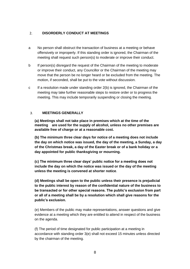#### $2.$ **DISORDERLY CONDUCT AT MEETINGS**

- a No person shall obstruct the transaction of business at a meeting or behave offensively or improperly. If this standing order is ignored, the Chairman of the meeting shall request such person(s) to moderate or improve their conduct.
- b If person(s) disregard the request of the Chairman of the meeting to moderate or improve their conduct, any Councillor or the Chairman of the meeting may move that the person be no longer heard or be excluded from the meeting. The motion, if seconded, shall be put to the vote without discussion.
- c If a resolution made under standing order 2(b) is ignored, the Chairman of the meeting may take further reasonable steps to restore order or to progress the meeting. This may include temporarily suspending or closing the meeting.

#### $3.$ **MEETINGS GENERALLY**

**(a) Meetings shall not take place in premises which at the time of the meeting are used for the supply of alcohol, unless no other premises are available free of charge or at a reasonable cost.** 

**(b) The minimum three clear days for notice of a meeting does not include the day on which notice was issued, the day of the meeting, a Sunday, a day of the Christmas break, a day of the Easter break or of a bank holiday or a day appointed for public thanksgiving or mourning.** 

**(c) The minimum three clear days' public notice for a meeting does not include the day on which the notice was issued or the day of the meeting unless the meeting is convened at shorter notice**.

**(d) Meetings shall be open to the public unless their presence is prejudicial to the public interest by reason of the confidential nature of the business to be transacted or for other special reasons. The public's exclusion from part or all of a meeting shall be by a resolution which shall give reasons for the public's exclusion.**

(e) Members of the public may make representations, answer questions and give evidence at a meeting which they are entitled to attend in respect of the business on the agenda.

(f) The period of time designated for public participation at a meeting in accordance with standing order 3(e) shall not exceed 15 minutes unless directed by the chairman of the meeting.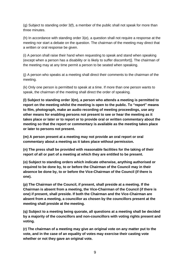(g) Subject to standing order 3(f), a member of the public shall not speak for more than three minutes.

(h) In accordance with standing order 3(e), a question shall not require a response at the meeting nor start a debate on the question. The chairman of the meeting may direct that a written or oral response be given.

(i) A person shall raise their hand when requesting to speak and stand when speaking (except when a person has a disability or is likely to suffer discomfort)]. The chairman of the meeting may at any time permit a person to be seated when speaking.

(j) A person who speaks at a meeting shall direct their comments to the chairman of the meeting.

(k) Only one person is permitted to speak at a time. If more than one person wants to speak, the chairman of the meeting shall direct the order of speaking.

**(l) Subject to standing order 3(m), a person who attends a meeting is permitted to report on the meeting whilst the meeting is open to the public. To "report" means to film, photograph, make an audio recording of meeting proceedings, use any other means for enabling persons not present to see or hear the meeting as it takes place or later or to report or to provide oral or written commentary about the meeting so that the report or commentary is available as the meeting takes place or later to persons not present.**

**(m) A person present at a meeting may not provide an oral report or oral commentary about a meeting as it takes place without permission.** 

**(n) The press shall be provided with reasonable facilities for the taking of their report of all or part of a meeting at which they are entitled to be present.** 

**(o) Subject to standing orders which indicate otherwise, anything authorised or required to be done by, to or before the Chairman of the Council may in their absence be done by, to or before the Vice-Chairman of the Council (if there is one).** 

**(p) The Chairman of the Council, if present, shall preside at a meeting. If the Chairman is absent from a meeting, the Vice-Chairman of the Council (if there is one) if present, shall preside. If both the Chairman and the Vice-Chairman are absent from a meeting, a councillor as chosen by the councillors present at the meeting shall preside at the meeting.** 

**(q) Subject to a meeting being quorate, all questions at a meeting shall be decided by a majority of the councillors and non-councillors with voting rights present and voting.** 

**(r) The chairman of a meeting may give an original vote on any matter put to the vote, and in the case of an equality of votes may exercise their casting vote whether or not they gave an original vote.**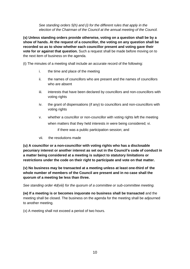*See standing orders 5(h) and (i) for the different rules that apply in the election of the Chairman of the Council at the annual meeting of the Council.*

**(s) Unless standing orders provide otherwise, voting on a question shall be by a show of hands. At the request of a councillor, the voting on any question shall be recorded so as to show whether each councillor present and voting gave their vote for or against that question.** Such a request shall be made before moving on to the next item of business on the agenda.

(t) The minutes of a meeting shall include an accurate record of the following:

- i. the time and place of the meeting
- ii. the names of councillors who are present and the names of councillors who are absent
- iii. interests that have been declared by councillors and non-councillors with voting rights
- iv. the grant of dispensations (if any) to councillors and non-councillors with voting rights
- v. whether a councillor or non-councillor with voting rights left the meeting when matters that they held interests in were being considered; vi. if there was a public participation session; and
- vii. the resolutions made

**(u) A councillor or a non-councillor with voting rights who has a disclosable pecuniary interest or another interest as set out in the Council's code of conduct in a matter being considered at a meeting is subject to statutory limitations or restrictions under the code on their right to participate and vote on that matter.** 

**(v) No business may be transacted at a meeting unless at least one-third of the whole number of members of the Council are present and in no case shall the quorum of a meeting be less than three.** 

*See standing order 4d(viii) for the quorum of a committee or sub-committee meeting.*

**(w) If a meeting is or becomes inquorate no business shall be transacted** and the meeting shall be closed. The business on the agenda for the meeting shall be adjourned to another meeting.

(x) A meeting shall not exceed a period of two hours.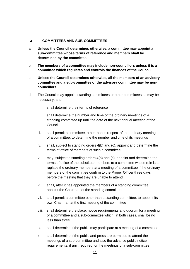#### $\overline{4}$ . **COMMITTEES AND SUB-COMMITTEES**

- a **Unless the Council determines otherwise, a committee may appoint a sub-committee whose terms of reference and members shall be determined by the committee.**
- b **The members of a committee may include non-councillors unless it is a committee which regulates and controls the finances of the Council.**
- c **Unless the Council determines otherwise, all the members of an advisory committee and a sub-committee of the advisory committee may be noncouncillors.**
- d The Council may appoint standing committees or other committees as may be necessary, and:
	- i. shall determine their terms of reference
	- ii. shall determine the number and time of the ordinary meetings of a standing committee up until the date of the next annual meeting of the Council
	- iii. shall permit a committee, other than in respect of the ordinary meetings of a committee, to determine the number and time of its meetings
	- iv. shall, subject to standing orders 4(b) and (c), appoint and determine the terms of office of members of such a committee
	- v. may, subject to standing orders 4(b) and (c), appoint and determine the terms of office of the substitute members to a committee whose role is to replace the ordinary members at a meeting of a committee if the ordinary members of the committee confirm to the Proper Officer three days before the meeting that they are unable to attend
	- vi. shall, after it has appointed the members of a standing committee, appoint the Chairman of the standing committee
	- vii. shall permit a committee other than a standing committee, to appoint its own Chairman at the first meeting of the committee
	- viii. shall determine the place, notice requirements and quorum for a meeting of a committee and a sub-committee which, in both cases, shall be no less than three
	- ix. shall determine if the public may participate at a meeting of a committee
	- x. shall determine if the public and press are permitted to attend the meetings of a sub-committee and also the advance public notice requirements, if any, required for the meetings of a sub-committee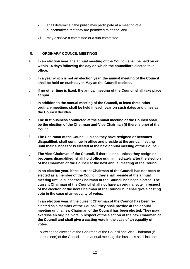- xi. shall determine if the public may participate at a meeting of a subcommittee that they are permitted to attend; and
- xii. may dissolve a committee or a sub-committee.

#### 5. **ORDINARY COUNCIL MEETINGS**

- a **In an election year, the annual meeting of the Council shall be held on or within 14 days following the day on which the councillors elected take office.**
- b **In a year which is not an election year, the annual meeting of the Council shall be held on such day in May as the Council decides.**
- c **If no other time is fixed, the annual meeting of the Council shall take place at 6pm.**
- d **In addition to the annual meeting of the Council, at least three other ordinary meetings shall be held in each year on such dates and times as the Council decides.**
- e **The first business conducted at the annual meeting of the Council shall be the election of the Chairman and Vice-Chairman (if there is one) of the Council.**
- f **The Chairman of the Council, unless they have resigned or becomes disqualified, shall continue in office and preside at the annual meeting until their successor is elected at the next annual meeting of the Council.**
- g **The Vice-Chairman of the Council, if there is one, unless they resign or becomes disqualified, shall hold office until immediately after the election of the Chairman of the Council at the next annual meeting of the Council.**
- h **In an election year, if the current Chairman of the Council has not been reelected as a member of the Council, they shall preside at the annual meeting until a successor Chairman of the Council has been elected. The current Chairman of the Council shall not have an original vote in respect of the election of the new Chairman of the Council but shall give a casting vote in the case of an equality of votes.**
- i In an election year, if the current Chairman of the Council has been re**elected as a member of the Council, they shall preside at the annual meeting until a new Chairman of the Council has been elected. They may exercise an original vote in respect of the election of the new Chairman of the Council and shall give a casting vote in the case of an equality of votes.**
- j Following the election of the Chairman of the Council and Vice-Chairman (if there is one) of the Council at the annual meeting, the business shall include: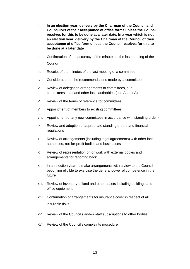- i. **In an election year, delivery by the Chairman of the Council and Councillors of their acceptance of office forms unless the Council resolves for this to be done at a later date. In a year which is not an election year, delivery by the Chairman of the Council of their acceptance of office form unless the Council resolves for this to be done at a later date**
- ii. Confirmation of the accuracy of the minutes of the last meeting of the **Council**
- iii. Receipt of the minutes of the last meeting of a committee
- iv. Consideration of the recommendations made by a committee
- v. Review of delegation arrangements to committees, subcommittees, staff and other local authorities (see Annex A)
- vi. Review of the terms of reference for committees
- vii. Appointment of members to existing committees
- viii. Appointment of any new committees in accordance with standing order 4
- ix. Review and adoption of appropriate standing orders and financial regulations
- x. Review of arrangements (including legal agreements) with other local authorities, not-for-profit bodies and businesses
- xi. Review of representation on or work with external bodies and arrangements for reporting back
- xii. In an election year, to make arrangements with a view to the Council becoming eligible to exercise the general power of competence in the future
- xiii. Review of inventory of land and other assets including buildings and office equipment
- xiv. Confirmation of arrangements for insurance cover in respect of all insurable risks
- xv. Review of the Council's and/or staff subscriptions to other bodies
- xvi. Review of the Council's complaints procedure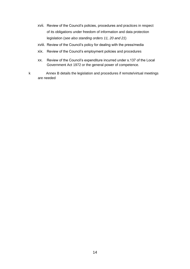- xvii. Review of the Council's policies, procedures and practices in respect of its obligations under freedom of information and data protection legislation (*see also standing orders 11, 20 and 21*)
- xviii. Review of the Council's policy for dealing with the press/media
- xix. Review of the Council's employment policies and procedures
- xx. Review of the Council's expenditure incurred under s.137 of the Local Government Act 1972 or the general power of competence.
- k Annex B details the legislation and procedures if remote/virtual meetings are needed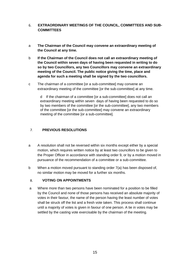## 6. **EXTRAORDINARY MEETINGS OF THE COUNCIL, COMMITTEES AND SUB-COMMITTEES**

- a **The Chairman of the Council may convene an extraordinary meeting of the Council at any time.**
- b **If the Chairman of the Council does not call an extraordinary meeting of the Council within seven days of having been requested in writing to do so by two Councillors, any two Councillors may convene an extraordinary meeting of the Council. The public notice giving the time, place and agenda for such a meeting shall be signed by the two councillors.**
- c The chairman of a committee [or a sub-committee] may convene an extraordinary meeting of the committee [or the sub-committee] at any time.

d If the chairman of a committee [or a sub-committee] does not call an extraordinary meeting within seven days of having been requested to do so by two members of the committee [or the sub-committee], any two members of the committee [or the sub-committee] may convene an extraordinary meeting of the committee [or a sub-committee].

#### $7.$ **PREVIOUS RESOLUTIONS**

- a A resolution shall not be reversed within six months except either by a special motion, which requires written notice by at least two councillors to be given to the Proper Officer in accordance with standing order 9, or by a motion moved in pursuance of the recommendation of a committee or a sub-committee.
- b When a motion moved pursuant to standing order 7(a) has been disposed of, no similar motion may be moved for a further six months.

#### **VOTING ON APPOINTMENTS**  8.

a Where more than two persons have been nominated for a position to be filled by the Council and none of those persons has received an absolute majority of votes in their favour, the name of the person having the least number of votes shall be struck off the list and a fresh vote taken. This process shall continue until a majority of votes is given in favour of one person. A tie in votes may be settled by the casting vote exercisable by the chairman of the meeting.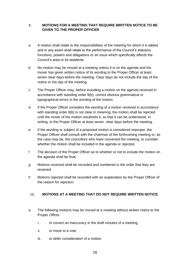## **MOTIONS FOR A MEETING THAT REQUIRE WRITTEN NOTICE TO BE**  9. **GIVEN TO THE PROPER OFFICER**

- a A motion shall relate to the responsibilities of the meeting for which it is tabled and in any event shall relate to the performance of the Council's statutory functions, powers and obligations or an issue which specifically affects the Council's area or its residents.
- b No motion may be moved at a meeting unless it is on the agenda and the mover has given written notice of its wording to the Proper Officer at least seven clear days before the meeting. Clear days do not include the day of the notice or the day of the meeting.
- c The Proper Officer may, before including a motion on the agenda received in accordance with standing order 9(b), correct obvious grammatical or typographical errors in the wording of the motion.
- d If the Proper Officer considers the wording of a motion received in accordance with standing order 9(b) is not clear in meaning, the motion shall be rejected until the mover of the motion resubmits it, so that it can be understood, in writing, to the Proper Officer at least seven clear days before the meeting.
- e If the wording or subject of a proposed motion is considered improper, the Proper Officer shall consult with the chairman of the forthcoming meeting or, as the case may be, the councillors who have convened the meeting, to consider whether the motion shall be included in the agenda or rejected.
- f The decision of the Proper Officer as to whether or not to include the motion on the agenda shall be final.
- g Motions received shall be recorded and numbered in the order that they are received.
- h Motions rejected shall be recorded with an explanation by the Proper Officer of the reason for rejection.

#### $10.$ **MOTIONS AT A MEETING THAT DO NOT REQUIRE WRITTEN NOTICE**

- a The following motions may be moved at a meeting without written notice to the Proper Officer:
	- i. to correct an inaccuracy in the draft minutes of a meeting
	- ii. to move to a vote
	- iii. to defer consideration of a motion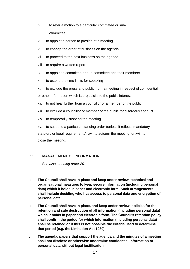- iv. to refer a motion to a particular committee or subcommittee
- v. to appoint a person to preside at a meeting
- vi. to change the order of business on the agenda
- vii. to proceed to the next business on the agenda
- viii. to require a written report
- ix. to appoint a committee or sub-committee and their members
- x. to extend the time limits for speaking
- xi. to exclude the press and public from a meeting in respect of confidential

or other information which is prejudicial to the public interest

- xii. to not hear further from a councillor or a member of the public
- xiii. to exclude a councillor or member of the public for disorderly conduct
- xiv. to temporarily suspend the meeting

xv. to suspend a particular standing order (unless it reflects mandatory statutory or legal requirements); xvi. to adjourn the meeting; or xvii. to close the meeting.

#### $11.$ **MANAGEMENT OF INFORMATION**

*See also standing order 20.* 

- a **The Council shall have in place and keep under review, technical and organisational measures to keep secure information (including personal data) which it holds in paper and electronic form. Such arrangements shall include deciding who has access to personal data and encryption of personal data.**
- b **The Council shall have in place, and keep under review, policies for the retention and safe destruction of all information (including personal data) which it holds in paper and electronic form. The Council's retention policy shall confirm the period for which information (including personal data) shall be retained or if this is not possible the criteria used to determine that period (e.g. the Limitation Act 1980).**
- c **The agenda, papers that support the agenda and the minutes of a meeting shall not disclose or otherwise undermine confidential information or personal data without legal justification.**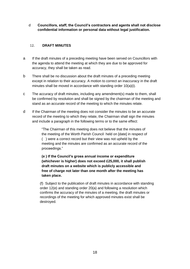d **Councillors, staff, the Council's contractors and agents shall not disclose confidential information or personal data without legal justification.** 

#### 12. **DRAFT MINUTES**

- a If the draft minutes of a preceding meeting have been served on Councillors with the agenda to attend the meeting at which they are due to be approved for accuracy, they shall be taken as read.
- b There shall be no discussion about the draft minutes of a preceding meeting except in relation to their accuracy. A motion to correct an inaccuracy in the draft minutes shall be moved in accordance with standing order 10(a)(i).
- c The accuracy of draft minutes, including any amendment(s) made to them, shall be confirmed by resolution and shall be signed by the chairman of the meeting and stand as an accurate record of the meeting to which the minutes relate.
- d If the Chairman of the meeting does not consider the minutes to be an accurate record of the meeting to which they relate, the Chairman shall sign the minutes and include a paragraph in the following terms or to the same effect:

"The Chairman of this meeting does not believe that the minutes of the meeting of the Worth Parish Council held on [date] in respect of ( ) were a correct record but their view was not upheld by the meeting and the minutes are confirmed as an accurate record of the proceedings."

**(e ) If the Council's gross annual income or expenditure (whichever is higher) does not exceed £25,000, it shall publish draft minutes on a website which is publicly accessible and free of charge not later than one month after the meeting has taken place.**

(f) Subject to the publication of draft minutes in accordance with standing order 12(e) and standing order 20(a) and following a resolution which confirms the accuracy of the minutes of a meeting, the draft minutes or recordings of the meeting for which approved minutes exist shall be destroyed.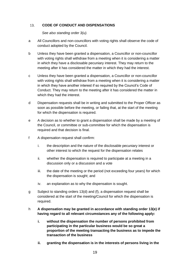#### $13.$ **CODE OF CONDUCT AND DISPENSATIONS**

*See also standing order 3(u).* 

- a All Councillors and non-councillors with voting rights shall observe the code of conduct adopted by the Council.
- b Unless they have been granted a dispensation, a Councillor or non-councillor with voting rights shall withdraw from a meeting when it is considering a matter in which they have a disclosable pecuniary interest. They may return to the meeting after it has considered the matter in which they had the interest.
- c Unless they have been granted a dispensation, a Councillor or non-councillor with voting rights shall withdraw from a meeting when it is considering a matter in which they have another interest if so required by the Council's Code of Conduct. They may return to the meeting after it has considered the matter in which they had the interest.
- d Dispensation requests shall be in writing and submitted to the Proper Officer as soon as possible before the meeting, or failing that, at the start of the meeting for which the dispensation is required.
- e A decision as to whether to grant a dispensation shall be made by a meeting of the Council, or committee or sub-committee for which the dispensation is required and that decision is final.
- f A dispensation request shall confirm:
	- i. the description and the nature of the disclosable pecuniary interest or other interest to which the request for the dispensation relates
	- ii. whether the dispensation is required to participate at a meeting in a discussion only or a discussion and a vote
	- iii. the date of the meeting or the period (not exceeding four years) for which the dispensation is sought; and
	- iv. an explanation as to why the dispensation is sought.
- g Subject to standing orders 13(d) and (f), a dispensation request shall be considered at the start of the meeting/Council for which the dispensation is required.
- h **A dispensation may be granted in accordance with standing order 13(e) if having regard to all relevant circumstances any of the following apply:** 
	- **i. without the dispensation the number of persons prohibited from participating in the particular business would be so great a proportion of the meeting transacting the business as to impede the transaction of the business**
	- **ii. granting the dispensation is in the interests of persons living in the**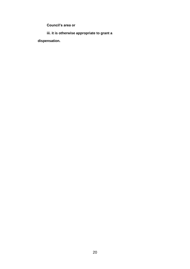**Council's area or** 

**iii. it is otherwise appropriate to grant a**

**dispensation.**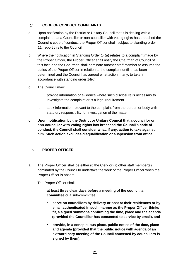#### 14. **CODE OF CONDUCT COMPLAINTS**

- a Upon notification by the District or Unitary Council that it is dealing with a complaint that a Councillor or non-councillor with voting rights has breached the Council's code of conduct, the Proper Officer shall, subject to standing order 11, report this to the Council.
- b Where the notification in Standing Order 14(a) relates to a complaint made by the Proper Officer, the Proper Officer shall notify the Chairman of Council of this fact, and the Chairman shall nominate another staff member to assume the duties of the Proper Officer in relation to the complaint until it has been determined and the Council has agreed what action, if any, to take in accordance with standing order 14(d).
- c The Council may:
	- i. provide information or evidence where such disclosure is necessary to investigate the complaint or is a legal requirement
	- ii. seek information relevant to the complaint from the person or body with statutory responsibility for investigation of the matter
- d **Upon notification by the District or Unitary Council that a councillor or non-councillor with voting rights has breached the Council's code of conduct, the Council shall consider what, if any, action to take against him. Such action excludes disqualification or suspension from office.**

#### **PROPER OFFICER**   $15.$

- a The Proper Officer shall be either (i) the Clerk or (ii) other staff member(s) nominated by the Council to undertake the work of the Proper Officer when the Proper Officer is absent.
- b The Proper Officer shall:
	- i. **at least three clear days before a meeting of the council, a committee** or a sub-committee**,**
		- **serve on councillors by delivery or post at their residences or by email authenticated in such manner as the Proper Officer thinks fit, a signed summons confirming the time, place and the agenda (provided the Councillor has consented to service by email), and**
		- **provide, in a conspicuous place, public notice of the time, place and agenda (provided that the public notice with agenda of an extraordinary meeting of the Council convened by councillors is signed by them).**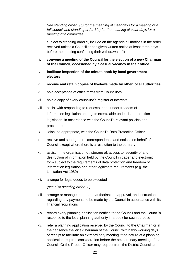*See standing order 3(b) for the meaning of clear days for a meeting of a full council and standing order 3(c) for the meaning of clear days for a meeting of a committee* 

- ii. subject to standing order 9, include on the agenda all motions in the order received unless a Councillor has given written notice at least three days before the meeting confirming their withdrawal of it
- iii. **convene a meeting of the Council for the election of a new Chairman of the Council, occasioned by a casual vacancy in their office**
- iv. **facilitate inspection of the minute book by local government electors**
- v. **receive and retain copies of byelaws made by other local authorities**
- vi. hold acceptance of office forms from Councillors
- vii. hold a copy of every councillor's register of interests
- viii. assist with responding to requests made under freedom of information legislation and rights exercisable under data protection legislation, in accordance with the Council's relevant policies and procedures
- ix. liaise, as appropriate, with the Council's Data Protection Officer
- x. receive and send general correspondence and notices on behalf of the Council except where there is a resolution to the contrary
- xi. assist in the organisation of, storage of, access to, security of and destruction of information held by the Council in paper and electronic form subject to the requirements of data protection and freedom of information legislation and other legitimate requirements (e.g. the Limitation Act 1980)
- xii. arrange for legal deeds to be executed

(*see also standing order 23)*

- xiii. arrange or manage the prompt authorisation, approval, and instruction regarding any payments to be made by the Council in accordance with its financial regulations
- xiv. record every planning application notified to the Council and the Council's response to the local planning authority in a book for such purpose
- xv. refer a planning application received by the Council to the Chairman or in their absence the Vice-Chairman of the Council within two working days of receipt to facilitate an extraordinary meeting if the nature of a planning application requires consideration before the next ordinary meeting of the Council. Or the Proper Officer may request from the District Council an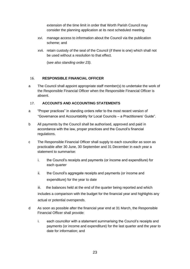extension of the time limit in order that Worth Parish Council may consider the planning application at its next scheduled meeting

- xvi. manage access to information about the Council via the publication scheme; and
- xvii. retain custody of the seal of the Council (if there is one) which shall not be used without a resolution to that effect.

(s*ee also standing order 23).*

#### $16.$ **RESPONSIBLE FINANCIAL OFFICER**

a The Council shall appoint appropriate staff member(s) to undertake the work of the Responsible Financial Officer when the Responsible Financial Officer is absent.

#### $17.$ **ACCOUNTS AND ACCOUNTING STATEMENTS**

- a "Proper practices" in standing orders refer to the most recent version of "Governance and Accountability for Local Councils – a Practitioners' Guide".
- b All payments by the Council shall be authorised, approved and paid in accordance with the law, proper practices and the Council's financial regulations.
- c The Responsible Financial Officer shall supply to each councillor as soon as practicable after 30 June, 30 September and 31 December in each year a statement to summarise:
	- i. the Council's receipts and payments (or income and expenditure) for each quarter
	- ii. the Council's aggregate receipts and payments (or income and expenditure) for the year to date

iii. the balances held at the end of the quarter being reported and which includes a comparison with the budget for the financial year and highlights any actual or potential overspends.

- d As soon as possible after the financial year end at 31 March, the Responsible Financial Officer shall provide:
	- i. each councillor with a statement summarising the Council's receipts and payments (or income and expenditure) for the last quarter and the year to date for information; and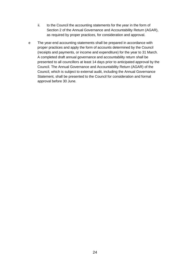- ii. to the Council the accounting statements for the year in the form of Section 2 of the Annual Governance and Accountability Return (AGAR), as required by proper practices, for consideration and approval.
- e The year-end accounting statements shall be prepared in accordance with proper practices and apply the form of accounts determined by the Council (receipts and payments, or income and expenditure) for the year to 31 March. A completed draft annual governance and accountability return shall be presented to all councillors at least 14 days prior to anticipated approval by the Council. The Annual Governance and Accountability Return (AGAR) of the Council, which is subject to external audit, including the Annual Governance Statement, shall be presented to the Council for consideration and formal approval before 30 June.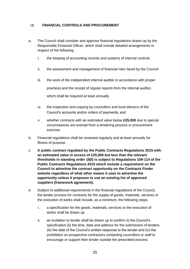#### **FINANCIAL CONTROLS AND PROCUREMENT**  18.

- a. The Council shall consider and approve financial regulations drawn up by the Responsible Financial Officer, which shall include detailed arrangements in respect of the following:
	- i. the keeping of accounting records and systems of internal controls
	- ii. the assessment and management of financial risks faced by the Council
	- iii. the work of the independent internal auditor in accordance with proper practices and the receipt of regular reports from the internal auditor, which shall be required at least annually
	- iv. the inspection and copying by councillors and local electors of the Council's accounts and/or orders of payments; and
	- v. whether contracts with an estimated value below **£25,000** due to special circumstances are exempt from a tendering process or procurement exercise.
- b. Financial regulations shall be reviewed regularly and at least annually for fitness of purpose.
- c. **A public contract regulated by the Public Contracts Regulations 2015 with an estimated value in excess of £25,000 but less than the relevant thresholds in standing order 18(f) is subject to Regulations 109-114 of the Public Contracts Regulations 2015 which include a requirement on the Council to advertise the contract opportunity on the Contracts Finder website regardless of what other means it uses to advertise the opportunity unless it proposes to use an existing list of approved suppliers (framework agreement).**
- d. Subject to additional requirements in the financial regulations of the Council, the tender process for contracts for the supply of goods, materials, services or the execution of works shall include, as a minimum, the following steps:
	- i. a specification for the goods, materials, services or the execution of works shall be drawn up
	- ii. an invitation to tender shall be drawn up to confirm (i) the Council's specification (ii) the time, date and address for the submission of tenders (iii) the date of the Council's written response to the tender and (iv) the prohibition on prospective contractors contacting councillors or staff to encourage or support their tender outside the prescribed process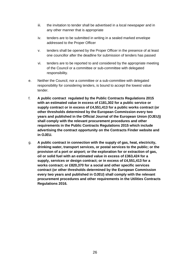- iii. the invitation to tender shall be advertised in a local newspaper and in any other manner that is appropriate
- iv. tenders are to be submitted in writing in a sealed marked envelope addressed to the Proper Officer
- v. tenders shall be opened by the Proper Officer in the presence of at least one councillor after the deadline for submission of tenders has passed
- vi. tenders are to be reported to and considered by the appropriate meeting of the Council or a committee or sub-committee with delegated responsibility.
- e. Neither the Council, nor a committee or a sub-committee with delegated responsibility for considering tenders, is bound to accept the lowest value tender.
- f. **A public contract regulated by the Public Contracts Regulations 2015 with an estimated value in excess of £181,302 for a public service or supply contract or in excess of £4,551,413 for a public works contract (or other thresholds determined by the European Commission every two years and published in the Official Journal of the European Union (OJEU)) shall comply with the relevant procurement procedures and other requirements in the Public Contracts Regulations 2015 which include advertising the contract opportunity on the Contracts Finder website and in OJEU.**
- g. **A public contract in connection with the supply of gas, heat, electricity, drinking water, transport services, or postal services to the public; or the provision of a port or airport; or the exploration for or extraction of gas, oil or solid fuel with an estimated value in excess of £363,424 for a supply, services or design contract; or in excess of £4,551,413 for a works contract; or £820,370 for a social and other specific services contract (or other thresholds determined by the European Commission every two years and published in OJEU) shall comply with the relevant procurement procedures and other requirements in the Utilities Contracts Regulations 2016.**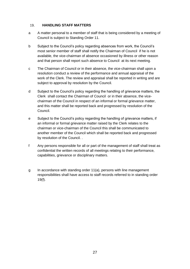#### 19. **HANDLING STAFF MATTERS**

- a A matter personal to a member of staff that is being considered by a meeting of Council is subject to Standing Order 11.
- b Subject to the Council's policy regarding absences from work, the Council's most senior member of staff shall notify the Chairman of Council if he is not available, the vice-chairman of absence occasioned by illness or other reason and that person shall report such absence to Council at its next meeting.
- c The Chairman of Council or in their absence, the vice-chairman shall upon a resolution conduct a review of the performance and annual appraisal of the work of the Clerk. The review and appraisal shall be reported in writing and are subject to approval by resolution by the Council.
- d Subject to the Council's policy regarding the handling of grievance matters, the Clerk shall contact the Chairman of Council or in their absence, the vicechairman of the Council in respect of an informal or formal grievance matter, and this matter shall be reported back and progressed by resolution of the Council.
- e Subject to the Council's policy regarding the handling of grievance matters, if an informal or formal grievance matter raised by the Clerk relates to the chairman or vice-chairman of the Council this shall be communicated to another member of the Council which shall be reported back and progressed by resolution of the Council. .
- f Any persons responsible for all or part of the management of staff shall treat as confidential the written records of all meetings relating to their performance, capabilities, grievance or disciplinary matters.
- g In accordance with standing order 11(a), persons with line management responsibilities shall have access to staff records referred to in standing order 19(f).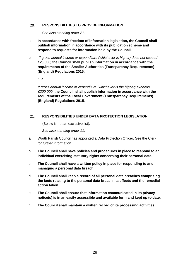#### **RESPONSIBILITIES TO PROVIDE INFORMATION**   $20.$

*See also standing order 21.* 

- a **In accordance with freedom of information legislation, the Council shall publish information in accordance with its publication scheme and respond to requests for information held by the Council.**
- b. *If gross annual income or expenditure (whichever is higher) does not exceed £25,000,* t**he Council shall publish information in accordance with the requirements of the Smaller Authorities (Transparency Requirements) (England) Regulations 2015.**

OR

*If gross annual income or expenditure (whichever is the higher) exceeds £200,000*, t**he Council, shall publish information in accordance with the requirements of the Local Government (Transparency Requirements) (England) Regulations 2015**.

#### $21.$ **RESPONSIBILITIES UNDER DATA PROTECTION LEGISLATION**

(Below is not an exclusive list).

*See also standing order 11.* 

- a Worth Parish Council has appointed a Data Protection Officer. See the Clerk for further information.
- b **The Council shall have policies and procedures in place to respond to an individual exercising statutory rights concerning their personal data.**
- c **The Council shall have a written policy in place for responding to and managing a personal data breach.**
- d **The Council shall keep a record of all personal data breaches comprising the facts relating to the personal data breach, its effects and the remedial action taken.**
- e **The Council shall ensure that information communicated in its privacy notice(s) is in an easily accessible and available form and kept up to date.**
- f **The Council shall maintain a written record of its processing activities.**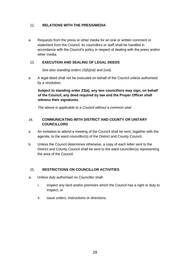#### $22.$ **RELATIONS WITH THE PRESS/MEDIA**

a Requests from the press or other media for an oral or written comment or statement from the Council, its councillors or staff shall be handled in accordance with the Council's policy in respect of dealing with the press and/or other media.

#### 23. **EXECUTION AND SEALING OF LEGAL DEEDS**

*See also standing orders 15(b)(xii) and (xvii).* 

a A legal deed shall not be executed on behalf of the Council unless authorised by a resolution.

**Subject to standing order 23(a), any two councillors may sign, on behalf of the Council, any deed required by law and the Proper Officer shall witness their signatures.** 

*The above is applicable to a Council without a common seal.* 

### $24.$ **COMMUNICATING WITH DISTRICT AND COUNTY OR UNITARY COUNCILLORS**

- a An invitation to attend a meeting of the Council shall be sent, together with the agenda, to the ward councillor(s) of the District and County Council..
- b Unless the Council determines otherwise, a copy of each letter sent to the District and County Council shall be sent to the ward councillor(s) representing the area of the Council.

#### $25.$ **RESTRICTIONS ON COUNCILLOR ACTIVITIES**

- a. Unless duly authorised no Councillor shall:
	- i. inspect any land and/or premises which the Council has a right or duty to inspect; or
	- ii. issue orders, instructions or directions.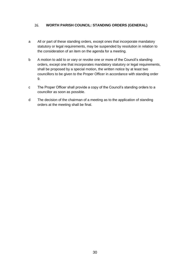#### $26.$ **WORTH PARISH COUNCIL: STANDING ORDERS (GENERAL)**

- a All or part of these standing orders, except ones that incorporate mandatory statutory or legal requirements, may be suspended by resolution in relation to the consideration of an item on the agenda for a meeting.
- b A motion to add to or vary or revoke one or more of the Council's standing orders, except one that incorporates mandatory statutory or legal requirements, shall be proposed by a special motion, the written notice by at least two councillors to be given to the Proper Officer in accordance with standing order 9.
- c The Proper Officer shall provide a copy of the Council's standing orders to a councillor as soon as possible.
- d The decision of the chairman of a meeting as to the application of standing orders at the meeting shall be final.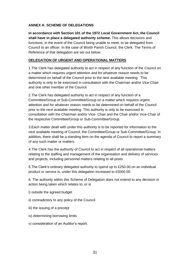## **ANNEX A: SCHEME OF DELEGATIONS**

**In accordance with Section 101 of the 1972 Local Government Act, the Council shall have in place a delegated authority scheme.** This allows decisions and functions, in the event of the Council being unable to meet, to be delegated from Council to an officer. In the case of Worth Parish Council, the Clerk. The Terms of Reference of that delegation are set out below:

## **DELEGATION OF URGENT AND OPERATIONAL MATTERS**

1.The Clerk has delegated authority to act in respect of any function of the Council on a matter which requires urgent attention and for whatever reason needs to be determined on behalf of the Council prior to the next available meeting. This authority is only to be exercised in consultation with the Chairman and/or Vice-Chair and one other member of the Council.

2.The Clerk has delegated authority to act in respect of any function of a Committee/Group or Sub-Committee/Group on a matter which requires urgent attention and for whatever reason needs to be determined on behalf of the Council prior to the next available meeting. This authority is only to be exercised in consultation with the Chairman and/or Vice- Chair and the Chair and/or Vice-Chair of the respective Committee/Group or Sub-Committee/Group.

3.Each matter dealt with under this authority is to be reported for information to the next available meeting of Council, the Committee/Group or Sub-Committee/Group. In addition, there shall be a standing item on the agenda of Council to report a summary of any such matter or matters.

4.The Clerk has the authority of Council to act in respect of all operational matters relating to the staffing and management of the organisation and delivery of services and projects, including personnel matters relating to all posts.

5.The Clerk's ordinary delegated authority to spend up to £250.00 on an individual product or service is, under this delegation increased to £5000.00.

6. The authority within this Scheme of Delegation does not extend to any decision or action being taken which relates to, or is

- i) outside the agreed budget
- ii) contradictory to any policy of the Council
- iii) the issuing of a precept
- iv) determining borrowing limits
- v) consideration of an Auditor's report.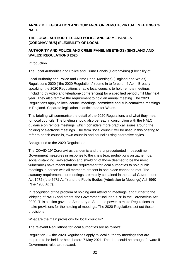# **ANNEX B: LEGISLATION AND GUIDANCE ON REMOTE/VIRTUAL MEETINGS © NALC**

# **THE LOCAL AUTHORITIES AND POLICE AND CRIME PANELS (CORONAVIRUS) (FLEXIBILITY OF LOCAL**

## **AUTHORITY AND POLICE AND CRIME PANEL MEETINGS) (ENGLAND AND WALES) REGULATIONS 2020**

## **Introduction**

The Local Authorities and Police and Crime Panels (Coronavirus) (Flexibility of

Local Authority and Police and Crime Panel Meetings) (England and Wales) Regulations 2020 ("the 2020 Regulations") come in to force on 4 April. Broadly speaking, the 2020 Regulations enable local councils to hold remote meetings (including by video and telephone conferencing) for a specified period until May next year. They also remove the requirement to hold an annual meeting. The 2020 Regulations apply to local council meetings, committee and sub-committee meetings in England. Separate legislation is anticipated for Wales.

This briefing will summarise the detail of the 2020 Regulations and what they mean for local councils. The briefing should also be read in conjunction with the NALC guidance on remote meetings, which considers more practical issues around the holding of electronic meetings. The term "local council" will be used in this briefing to refer to parish councils, town councils and councils using alternative styles.

## Background to the 2020 Regulations

The COVID-19/ Coronavirus pandemic and the unprecedented in peacetime Government measures in response to the crisis (e.g. prohibitions on gatherings, social distancing, self-isolation and shielding of those deemed to be the most vulnerable) have meant that the requirement for local authorities to hold public meetings in person with all members present in one place cannot be met. The statutory requirements for meetings are mainly contained in the Local Government Act 1972 ("the 1972 Act") and the Public Bodies (Admission to Meetings) Act 1960 ("the 1960 Act").

In recognition of the problem of holding and attending meetings, and further to the lobbying of NALC and others, the Government included s.78 in the Coronavirus Act 2020. This section gave the Secretary of State the power to make Regulations to make provisions for the holding of meetings. The 2020 Regulations set out those provisions.

What are the main provisions for local councils?

The relevant Regulations for local authorities are as follows:

Regulation 2 – the 2020 Regulations apply to local authority meetings that are required to be held, or held, before 7 May 2021. The date could be brought forward if Government rules are relaxed.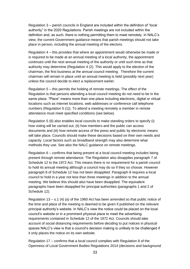Regulation 3 – parish councils in England are included within the definition of "local authority" in the 2020 Regulations. Parish meetings are not included within the definition and, as such, there is nothing permitting them to meet remotely. In NALC's view, the current Government guidance means that parish meetings should not take place in person, including the annual meeting of the electors.

Regulation 4 – this provides that where an appointment would otherwise be made or is required to be made at an annual meeting of a local authority, the appointment continues until the next annual meeting of the authority or until such time as that authority may determine (Regulation 4 (2). This would apply to the election of the chairman, the first business at the annual council meeting. Therefore the current chairman will remain in place until an annual meeting is held (possibly next year) unless the council decide to elect a replacement earlier.

Regulation 5 – this permits the holding of remote meetings. The effect of the Regulation is that persons attending a local council meeting do not need to be in the same place. "Place" means more than one place including electronic, digital or virtual locations such as internet locations, web addresses or conference call telephone numbers (Regulation 5 (1)). To attend a meeting remotely a member in remote attendance must meet specified conditions (see below).

Regulation 5 (6) also enables local councils to make standing orders to specify (i) how voting will be carried out, (ii) how members and the public can access documents and (iii) how remote access of the press and public by electronic means will take place. Councils should make these decisions based on their own needs and capacity. Local factors such as broadband strength may also determine what methods they use. See also the NALC guidance on remote meetings.

Regulation 6 – confirms that being present at a local council meeting includes being present through remote attendance. The Regulation also disapplies paragraph 7 of Schedule 12 to the 1972 Act. This means there is no requirement for a parish council to hold its annual meeting although a council may do so if they so choose. However paragraph 8 of Schedule 12 has not been disapplied. Paragraph 8 requires a local council to hold in a year not less than three meetings in addition to the annual meeting. We believe this should also have been disapplied. The equivalent paragraphs have been disapplied for principal authorities (paragraphs 1 and 2 of Schedule 12).

Regulation 13 – s.1 (4) (a) of the 1960 Act has been amended so that public notice of the time and place of the meeting is deemed to be given if published on the relevant principal authority's website. In NALC's view the notice could be placed on the local council's website or in a prominent physical place to meet the advertising requirements contained in Schedule 12 of the 1972 Act. Councils should take account of social distancing requirements before deciding to put notices in physical spaces NALC's view is that a council's decision making is unlikely to be challenged if it only places the notice on its own website.

Regulation 17 – confirms that a local council complies with Regulation 8 of the Openness of Local Government Bodies Regulations 2014 (decisions and background